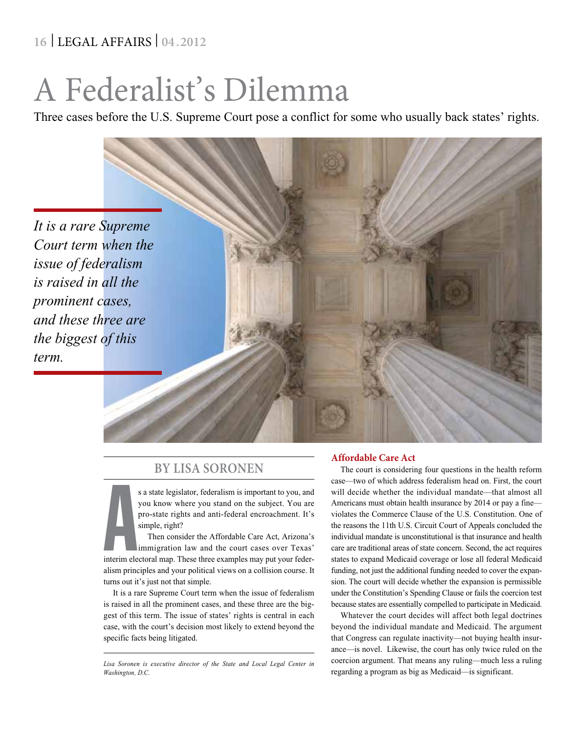## **16** | LEGAL AFFAIRS | **04 .2012**

# A Federalist's Dilemma

Three cases before the U.S. Supreme Court pose a conflict for some who usually back states' rights.



### **By Lisa Soronen**

s a state legislator, federalism is important to you, and you know where you stand on the subject. You are pro-state rights and anti-federal encroachment. It's simple, right?

s a state legislator, federalism is important to you, and<br>you know where you stand on the subject. You are<br>pro-state rights and anti-federal encroachment. It's<br>simple, right?<br>Then consider the Affordable Care Act, Arizona' Then consider the Affordable Care Act, Arizona's immigration law and the court cases over Texas' alism principles and your political views on a collision course. It turns out it's just not that simple.

It is a rare Supreme Court term when the issue of federalism is raised in all the prominent cases, and these three are the biggest of this term. The issue of states' rights is central in each case, with the court's decision most likely to extend beyond the specific facts being litigated.

#### **Affordable Care Act**

The court is considering four questions in the health reform case—two of which address federalism head on. First, the court will decide whether the individual mandate—that almost all Americans must obtain health insurance by 2014 or pay a fine violates the Commerce Clause of the U.S. Constitution. One of the reasons the 11th U.S. Circuit Court of Appeals concluded the individual mandate is unconstitutional is that insurance and health care are traditional areas of state concern. Second, the act requires states to expand Medicaid coverage or lose all federal Medicaid funding, not just the additional funding needed to cover the expansion. The court will decide whether the expansion is permissible under the Constitution's Spending Clause or fails the coercion test because states are essentially compelled to participate in Medicaid.

Whatever the court decides will affect both legal doctrines beyond the individual mandate and Medicaid. The argument that Congress can regulate inactivity—not buying health insurance—is novel. Likewise, the court has only twice ruled on the coercion argument. That means any ruling—much less a ruling regarding a program as big as Medicaid—is significant.

*Lisa Soronen is executive director of the State and Local Legal Center in Washington, D.C.*